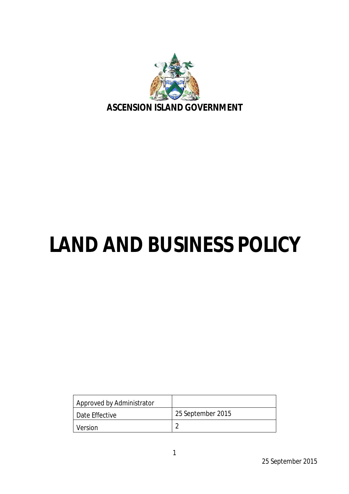

# **LAND AND BUSINESS POLICY**

| Approved by Administrator |                   |
|---------------------------|-------------------|
| Date Effective            | 25 September 2015 |
| Version                   | ◠                 |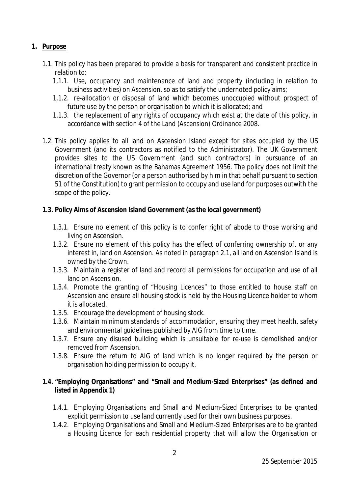# **1. Purpose**

- 1.1. This policy has been prepared to provide a basis for transparent and consistent practice in relation to:
	- 1.1.1. Use, occupancy and maintenance of land and property (including in relation to business activities) on Ascension, so as to satisfy the undernoted policy aims;
	- 1.1.2. re-allocation or disposal of land which becomes unoccupied without prospect of future use by the person or organisation to which it is allocated; and
	- 1.1.3. the replacement of any rights of occupancy which exist at the date of this policy, in accordance with section 4 of the Land (Ascension) Ordinance 2008.
- 1.2. This policy applies to all land on Ascension Island except for sites occupied by the US Government (and its contractors as notified to the Administrator). The UK Government provides sites to the US Government (and such contractors) in pursuance of an international treaty known as the Bahamas Agreement 1956. The policy does not limit the discretion of the Governor (or a person authorised by him in that behalf pursuant to section 51 of the Constitution) to grant permission to occupy and use land for purposes outwith the scope of the policy.

#### **1.3. Policy Aims of Ascension Island Government (as the local government)**

- 1.3.1. Ensure no element of this policy is to confer right of abode to those working and living on Ascension.
- 1.3.2. Ensure no element of this policy has the effect of conferring ownership of, or any interest in, land on Ascension. As noted in paragraph 2.1, all land on Ascension Island is owned by the Crown.
- 1.3.3. Maintain a register of land and record all permissions for occupation and use of all land on Ascension.
- 1.3.4. Promote the granting of "Housing Licences" to those entitled to house staff on Ascension and ensure all housing stock is held by the Housing Licence holder to whom it is allocated.
- 1.3.5. Encourage the development of housing stock.
- 1.3.6. Maintain minimum standards of accommodation, ensuring they meet health, safety and environmental guidelines published by AIG from time to time.
- 1.3.7. Ensure any disused building which is unsuitable for re-use is demolished and/or removed from Ascension.
- 1.3.8. Ensure the return to AIG of land which is no longer required by the person or organisation holding permission to occupy it.

# **1.4. "Employing Organisations" and "Small and Medium-Sized Enterprises" (as defined and listed in Appendix 1)**

- 1.4.1. Employing Organisations and Small and Medium-Sized Enterprises to be granted explicit permission to use land currently used for their own business purposes.
- 1.4.2. Employing Organisations and Small and Medium-Sized Enterprises are to be granted a Housing Licence for each residential property that will allow the Organisation or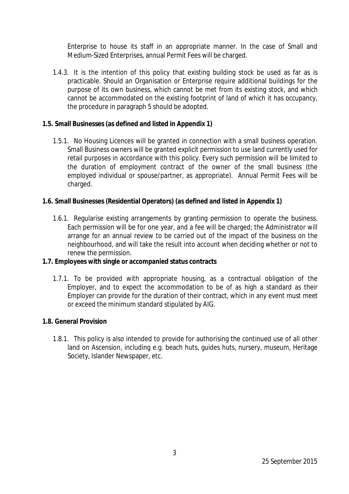Enterprise to house its staff in an appropriate manner. In the case of Small and Medium-Sized Enterprises, annual Permit Fees will be charged.

1.4.3. It is the intention of this policy that existing building stock be used as far as is practicable. Should an Organisation or Enterprise require additional buildings for the purpose of its own business, which cannot be met from its existing stock, and which cannot be accommodated on the existing footprint of land of which it has occupancy, the procedure in paragraph 5 should be adopted.

#### **1.5. Small Businesses (as defined and listed in Appendix 1)**

1.5.1. No Housing Licences will be granted in connection with a small business operation. Small Business owners will be granted explicit permission to use land currently used for retail purposes in accordance with this policy. Every such permission will be limited to the duration of employment contract of the owner of the small business (the employed individual or spouse/partner, as appropriate). Annual Permit Fees will be charged.

# **1.6. Small Businesses (Residential Operators) (as defined and listed in Appendix 1)**

1.6.1. Regularise existing arrangements by granting permission to operate the business. Each permission will be for one year, and a fee will be charged; the Administrator will arrange for an annual review to be carried out of the impact of the business on the neighbourhood, and will take the result into account when deciding whether or not to renew the permission.

#### **1.7. Employees with single or accompanied status contracts**

1.7.1. To be provided with appropriate housing, as a contractual obligation of the Employer, and to expect the accommodation to be of as high a standard as their Employer can provide for the duration of their contract, which in any event must meet or exceed the minimum standard stipulated by AIG.

#### **1.8. General Provision**

1.8.1. This policy is also intended to provide for authorising the continued use of all other land on Ascension, including e.g. beach huts, guides huts, nursery, museum, Heritage Society, Islander Newspaper, etc.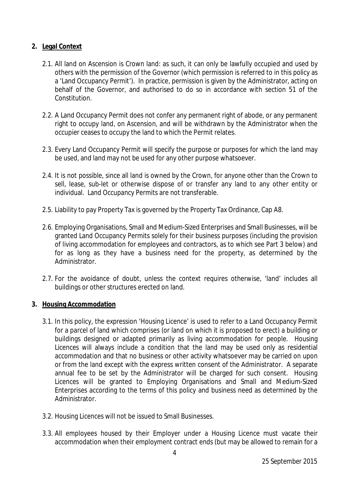# **2. Legal Context**

- 2.1. All land on Ascension is Crown land: as such, it can only be lawfully occupied and used by others with the permission of the Governor (which permission is referred to in this policy as a 'Land Occupancy Permit'). In practice, permission is given by the Administrator, acting on behalf of the Governor, and authorised to do so in accordance with section 51 of the Constitution.
- 2.2. A Land Occupancy Permit does not confer any permanent right of abode, or any permanent right to occupy land, on Ascension, and will be withdrawn by the Administrator when the occupier ceases to occupy the land to which the Permit relates.
- 2.3. Every Land Occupancy Permit will specify the purpose or purposes for which the land may be used, and land may not be used for any other purpose whatsoever.
- 2.4. It is not possible, since all land is owned by the Crown, for anyone other than the Crown to sell, lease, sub-let or otherwise dispose of or transfer any land to any other entity or individual. Land Occupancy Permits are not transferable.
- 2.5. Liability to pay Property Tax is governed by the Property Tax Ordinance, Cap A8.
- 2.6. Employing Organisations, Small and Medium-Sized Enterprises and Small Businesses, will be granted Land Occupancy Permits solely for their business purposes (including the provision of living accommodation for employees and contractors, as to which see Part 3 below) and for as long as they have a business need for the property, as determined by the Administrator.
- 2.7. For the avoidance of doubt, unless the context requires otherwise, 'land' includes all buildings or other structures erected on land.

#### **3. Housing Accommodation**

- 3.1. In this policy, the expression 'Housing Licence' is used to refer to a Land Occupancy Permit for a parcel of land which comprises (or land on which it is proposed to erect) a building or buildings designed or adapted primarily as living accommodation for people. Housing Licences will always include a condition that the land may be used only as residential accommodation and that no business or other activity whatsoever may be carried on upon or from the land except with the express written consent of the Administrator. A separate annual fee to be set by the Administrator will be charged for such consent. Housing Licences will be granted to Employing Organisations and Small and Medium-Sized Enterprises according to the terms of this policy and business need as determined by the Administrator.
- 3.2. Housing Licences will not be issued to Small Businesses.
- 3.3. All employees housed by their Employer under a Housing Licence must vacate their accommodation when their employment contract ends (but may be allowed to remain for a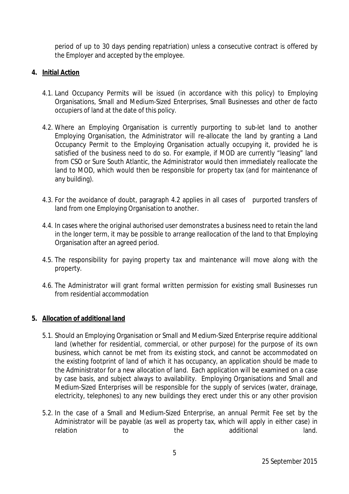period of up to 30 days pending repatriation) unless a consecutive contract is offered by the Employer and accepted by the employee.

# **4. Initial Action**

- 4.1. Land Occupancy Permits will be issued (in accordance with this policy) to Employing Organisations, Small and Medium-Sized Enterprises, Small Businesses and other *de facto* occupiers of land at the date of this policy.
- 4.2. Where an Employing Organisation is currently purporting to sub-let land to another Employing Organisation, the Administrator will re-allocate the land by granting a Land Occupancy Permit to the Employing Organisation actually occupying it, provided he is satisfied of the business need to do so. For example, if MOD are currently "leasing" land from CSO or Sure South Atlantic, the Administrator would then immediately reallocate the land to MOD, which would then be responsible for property tax (and for maintenance of any building).
- 4.3. For the avoidance of doubt, paragraph 4.2 applies in all cases of purported transfers of land from one Employing Organisation to another.
- 4.4. In cases where the original authorised user demonstrates a business need to retain the land in the longer term, it may be possible to arrange reallocation of the land to that Employing Organisation after an agreed period.
- 4.5. The responsibility for paying property tax and maintenance will move along with the property.
- 4.6. The Administrator will grant formal written permission for existing small Businesses run from residential accommodation

#### **5. Allocation of additional land**

- 5.1. Should an Employing Organisation or Small and Medium-Sized Enterprise require additional land (whether for residential, commercial, or other purpose) for the purpose of its own business, which cannot be met from its existing stock, and cannot be accommodated on the existing footprint of land of which it has occupancy, an application should be made to the Administrator for a new allocation of land. Each application will be examined on a case by case basis, and subject always to availability. Employing Organisations and Small and Medium-Sized Enterprises will be responsible for the supply of services (water, drainage, electricity, telephones) to any new buildings they erect under this or any other provision
- 5.2. In the case of a Small and Medium-Sized Enterprise, an annual Permit Fee set by the Administrator will be payable (as well as property tax, which will apply in either case) in relation to the additional land.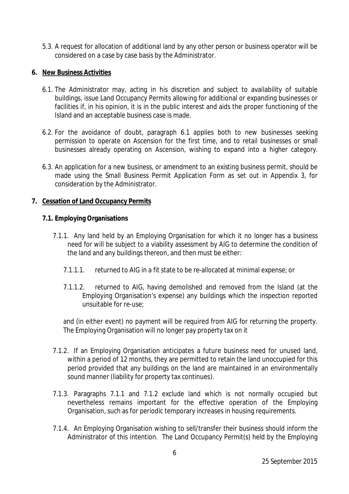5.3. A request for allocation of additional land by any other person or business operator will be considered on a case by case basis by the Administrator.

#### **6. New Business Activities**

- 6.1. The Administrator may, acting in his discretion and subject to availability of suitable buildings, issue Land Occupancy Permits allowing for additional or expanding businesses or facilities if, in his opinion, it is in the public interest and aids the proper functioning of the Island and an acceptable business case is made.
- 6.2. For the avoidance of doubt, paragraph 6.1 applies both to new businesses seeking permission to operate on Ascension for the first time, and to retail businesses or small businesses already operating on Ascension, wishing to expand into a higher category.
- 6.3. An application for a new business, or amendment to an existing business permit, should be made using the Small Business Permit Application Form as set out in Appendix 3, for consideration by the Administrator.

#### **7. Cessation of Land Occupancy Permits**

#### **7.1. Employing Organisations**

- 7.1.1. Any land held by an Employing Organisation for which it no longer has a business need for will be subject to a viability assessment by AIG to determine the condition of the land and any buildings thereon, and then must be either:
	- 7.1.1.1. returned to AIG in a fit state to be re-allocated at minimal expense; or
	- 7.1.1.2. returned to AIG, having demolished and removed from the Island (at the Employing Organisation's expense) any buildings which the inspection reported unsuitable for re-use;

and (in either event) no payment will be required from AIG for returning the property. The Employing Organisation will no longer pay property tax on it

- 7.1.2. If an Employing Organisation anticipates a future business need for unused land, within a period of 12 months, they are permitted to retain the land unoccupied for this period provided that any buildings on the land are maintained in an environmentally sound manner (liability for property tax continues).
- 7.1.3. Paragraphs 7.1.1 and 7.1.2 exclude land which is not normally occupied but nevertheless remains important for the effective operation of the Employing Organisation, such as for periodic temporary increases in housing requirements.
- 7.1.4. An Employing Organisation wishing to sell/transfer their business should inform the Administrator of this intention. The Land Occupancy Permit(s) held by the Employing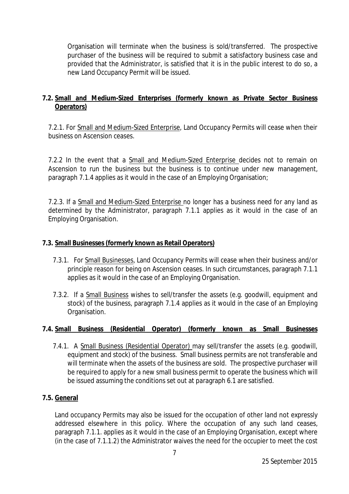Organisation will terminate when the business is sold/transferred. The prospective purchaser of the business will be required to submit a satisfactory business case and provided that the Administrator, is satisfied that it is in the public interest to do so, a new Land Occupancy Permit will be issued.

# **7.2. Small and Medium-Sized Enterprises (formerly known as Private Sector Business Operators)**

7.2.1. For Small and Medium-Sized Enterprise, Land Occupancy Permits will cease when their business on Ascension ceases.

7.2.2 In the event that a Small and Medium-Sized Enterprise decides not to remain on Ascension to run the business but the business is to continue under new management, paragraph 7.1.4 applies as it would in the case of an Employing Organisation;

7.2.3. If a Small and Medium-Sized Enterprise no longer has a business need for any land as determined by the Administrator, paragraph 7.1.1 applies as it would in the case of an Employing Organisation.

#### **7.3. Small Businesses (formerly known as Retail Operators)**

- 7.3.1. For Small Businesses, Land Occupancy Permits will cease when their business and/or principle reason for being on Ascension ceases. In such circumstances, paragraph 7.1.1 applies as it would in the case of an Employing Organisation.
- 7.3.2. If a Small Business wishes to sell/transfer the assets (e.g. goodwill, equipment and stock) of the business, paragraph 7.1.4 applies as it would in the case of an Employing Organisation.

# **7.4. Small Business (Residential Operator) (formerly known as Small Businesses**

7.4.1. A Small Business (Residential Operator) may sell/transfer the assets (e.g. goodwill, equipment and stock) of the business. Small business permits are not transferable and will terminate when the assets of the business are sold. The prospective purchaser will be required to apply for a new small business permit to operate the business which will be issued assuming the conditions set out at paragraph 6.1 are satisfied.

#### **7.5. General**

Land occupancy Permits may also be issued for the occupation of other land not expressly addressed elsewhere in this policy. Where the occupation of any such land ceases, paragraph 7.1.1. applies as it would in the case of an Employing Organisation, except where (in the case of 7.1.1.2) the Administrator waives the need for the occupier to meet the cost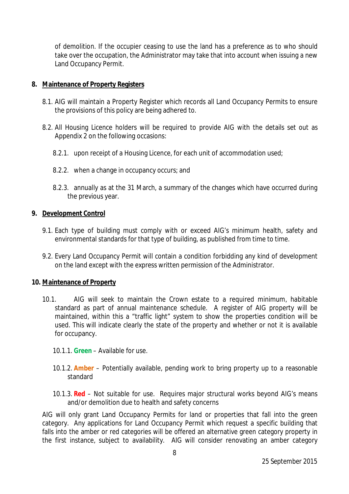of demolition. If the occupier ceasing to use the land has a preference as to who should take over the occupation, the Administrator may take that into account when issuing a new Land Occupancy Permit.

#### **8. Maintenance of Property Registers**

- 8.1. AIG will maintain a Property Register which records all Land Occupancy Permits to ensure the provisions of this policy are being adhered to.
- 8.2. All Housing Licence holders will be required to provide AIG with the details set out as Appendix 2 on the following occasions:
	- 8.2.1. upon receipt of a Housing Licence, for each unit of accommodation used;
	- 8.2.2. when a change in occupancy occurs; and
	- 8.2.3. annually as at the 31 March, a summary of the changes which have occurred during the previous year.

#### **9. Development Control**

- 9.1. Each type of building must comply with or exceed AIG's minimum health, safety and environmental standards for that type of building, as published from time to time.
- 9.2. Every Land Occupancy Permit will contain a condition forbidding any kind of development on the land except with the express written permission of the Administrator.

#### **10. Maintenance of Property**

- 10.1. AIG will seek to maintain the Crown estate to a required minimum, habitable standard as part of annual maintenance schedule. A register of AIG property will be maintained, within this a "traffic light" system to show the properties condition will be used. This will indicate clearly the state of the property and whether or not it is available for occupancy.
	- 10.1.1. **Green** Available for use.
	- 10.1.2. **Amber** Potentially available, pending work to bring property up to a reasonable standard
	- 10.1.3. **Red** Not suitable for use. Requires major structural works beyond AIG's means and/or demolition due to health and safety concerns

AIG will only grant Land Occupancy Permits for land or properties that fall into the green category. Any applications for Land Occupancy Permit which request a specific building that falls into the amber or red categories will be offered an alternative green category property in the first instance, subject to availability. AIG will consider renovating an amber category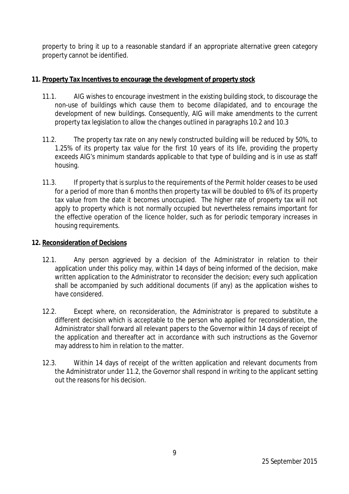property to bring it up to a reasonable standard if an appropriate alternative green category property cannot be identified.

# **11. Property Tax Incentives to encourage the development of property stock**

- 11.1. AIG wishes to encourage investment in the existing building stock, to discourage the non-use of buildings which cause them to become dilapidated, and to encourage the development of new buildings. Consequently, AIG will make amendments to the current property tax legislation to allow the changes outlined in paragraphs 10.2 and 10.3
- 11.2. The property tax rate on any newly constructed building will be reduced by 50%, to 1.25% of its property tax value for the first 10 years of its life, providing the property exceeds AIG's minimum standards applicable to that type of building and is in use as staff housing.
- 11.3. If property that is surplus to the requirements of the Permit holder ceases to be used for a period of more than 6 months then property tax will be doubled to 6% of its property tax value from the date it becomes unoccupied. The higher rate of property tax will not apply to property which is not normally occupied but nevertheless remains important for the effective operation of the licence holder, such as for periodic temporary increases in housing requirements.

#### **12. Reconsideration of Decisions**

- 12.1. Any person aggrieved by a decision of the Administrator in relation to their application under this policy may, within 14 days of being informed of the decision, make written application to the Administrator to reconsider the decision; every such application shall be accompanied by such additional documents (if any) as the application wishes to have considered.
- 12.2. Except where, on reconsideration, the Administrator is prepared to substitute a different decision which is acceptable to the person who applied for reconsideration, the Administrator shall forward all relevant papers to the Governor within 14 days of receipt of the application and thereafter act in accordance with such instructions as the Governor may address to him in relation to the matter.
- 12.3. Within 14 days of receipt of the written application and relevant documents from the Administrator under 11.2, the Governor shall respond in writing to the applicant setting out the reasons for his decision.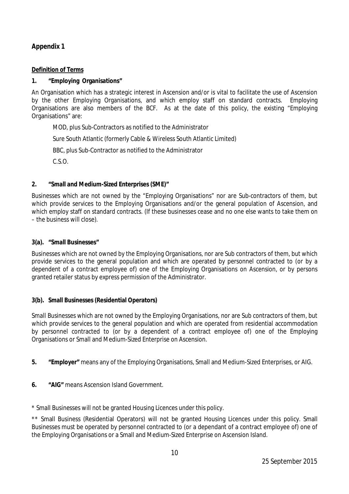# **Appendix 1**

#### **Definition of Terms**

#### **1. "Employing Organisations"**

An Organisation which has a strategic interest in Ascension and/or is vital to facilitate the use of Ascension by the other Employing Organisations, and which employ staff on standard contracts. Employing Organisations are also members of the BCF. As at the date of this policy, the existing "Employing Organisations" are:

MOD, plus Sub-Contractors as notified to the Administrator

Sure South Atlantic (formerly Cable & Wireless South Atlantic Limited)

BBC, plus Sub-Contractor as notified to the Administrator

C.S.O.

#### **2. "Small and Medium-Sized Enterprises (SME)"**

Businesses which are not owned by the "Employing Organisations" nor are Sub-contractors of them, but which provide services to the Employing Organisations and/or the general population of Ascension, and which employ staff on standard contracts. (If these businesses cease and no one else wants to take them on – the business will close).

#### **3(a). "Small Businesses"**

Businesses which are not owned by the Employing Organisations, nor are Sub contractors of them, but which provide services to the general population and which are operated by personnel contracted to (or by a dependent of a contract employee of) one of the Employing Organisations on Ascension, or by persons granted retailer status by express permission of the Administrator.

#### **3(b). Small Businesses (Residential Operators)**

Small Businesses which are not owned by the Employing Organisations, nor are Sub contractors of them, but which provide services to the general population and which are operated from residential accommodation by personnel contracted to (or by a dependent of a contract employee of) one of the Employing Organisations or Small and Medium-Sized Enterprise on Ascension.

- **5. "Employer"** means any of the Employing Organisations, Small and Medium-Sized Enterprises, or AIG.
- **6. "AIG"** means Ascension Island Government.

\* Small Businesses will not be granted Housing Licences under this policy.

\*\* Small Business (Residential Operators) will not be granted Housing Licences under this policy. Small Businesses must be operated by personnel contracted to (or a dependant of a contract employee of) one of the Employing Organisations or a Small and Medium-Sized Enterprise on Ascension Island.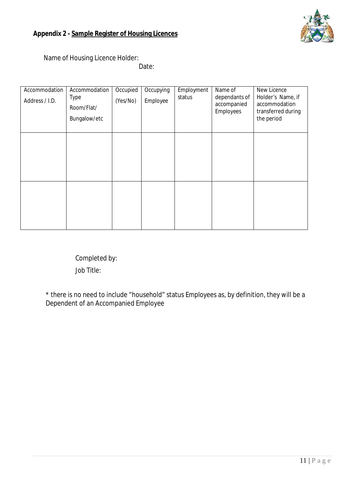Name of Housing Licence Holder:

Date:

| Accommodation<br>Address / I.D. | Accommodation<br><b>Type</b><br>Room/Flat/<br>Bungalow/etc | Occupied<br>(Yes/No) | Occupying<br>Employee | Employment<br>status | Name of<br>dependants of<br>accompanied<br>Employees | New Licence<br>Holder's Name, if<br>accommodation<br>transferred during<br>the period |
|---------------------------------|------------------------------------------------------------|----------------------|-----------------------|----------------------|------------------------------------------------------|---------------------------------------------------------------------------------------|
|                                 |                                                            |                      |                       |                      |                                                      |                                                                                       |
|                                 |                                                            |                      |                       |                      |                                                      |                                                                                       |

Completed by: Job Title:

\* there is no need to include "household" status Employees as, by definition, they will be a Dependent of an Accompanied Employee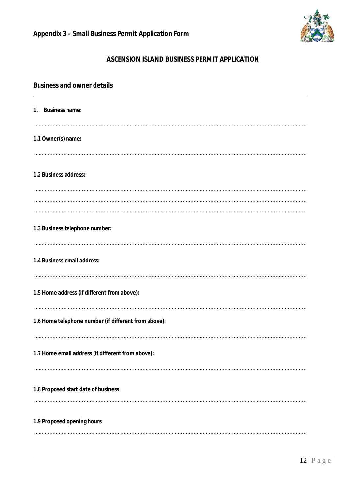

# **ASCENSION ISLAND BUSINESS PERMIT APPLICATION**

| <b>Business and owner details</b>                    |
|------------------------------------------------------|
| 1. Business name:                                    |
| 1.1 Owner(s) name:                                   |
| 1.2 Business address:                                |
|                                                      |
|                                                      |
| 1.3 Business telephone number:                       |
| 1.4 Business email address:                          |
| 1.5 Home address (if different from above):          |
| 1.6 Home telephone number (if different from above): |
| 1.7 Home email address (if different from above):    |
| 1.8 Proposed start date of business                  |
|                                                      |
| 1.9 Proposed opening hours                           |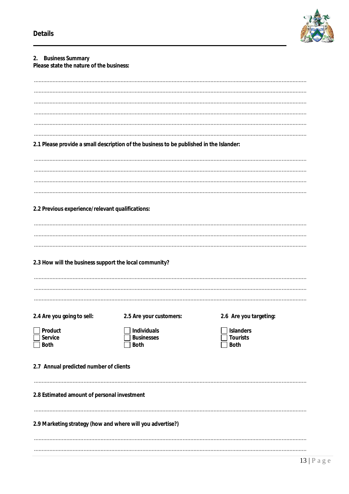

| 2. Business Summary<br>Please state the nature of the business: |                                                                                         |                                     |  |  |
|-----------------------------------------------------------------|-----------------------------------------------------------------------------------------|-------------------------------------|--|--|
|                                                                 |                                                                                         |                                     |  |  |
|                                                                 |                                                                                         |                                     |  |  |
|                                                                 |                                                                                         |                                     |  |  |
|                                                                 |                                                                                         |                                     |  |  |
|                                                                 | 2.1 Please provide a small description of the business to be published in the Islander: |                                     |  |  |
|                                                                 |                                                                                         |                                     |  |  |
|                                                                 |                                                                                         |                                     |  |  |
|                                                                 |                                                                                         |                                     |  |  |
|                                                                 |                                                                                         |                                     |  |  |
| 2.2 Previous experience/relevant qualifications:                |                                                                                         |                                     |  |  |
|                                                                 |                                                                                         |                                     |  |  |
|                                                                 |                                                                                         |                                     |  |  |
| 2.3 How will the business support the local community?          |                                                                                         |                                     |  |  |
|                                                                 |                                                                                         |                                     |  |  |
|                                                                 |                                                                                         |                                     |  |  |
| 2.4 Are you going to sell:                                      | 2.5 Are your customers:                                                                 | 2.6 Are you targeting:              |  |  |
| Product<br><b>Service</b>                                       | <b>Individuals</b><br><b>Businesses</b>                                                 | <b>Islanders</b><br><b>Tourists</b> |  |  |
| <b>Both</b>                                                     | <b>Both</b>                                                                             | <b>Both</b>                         |  |  |
| 2.7 Annual predicted number of clients                          |                                                                                         |                                     |  |  |
| 2.8 Estimated amount of personal investment                     |                                                                                         |                                     |  |  |
|                                                                 |                                                                                         |                                     |  |  |
| 2.9 Marketing strategy (how and where will you advertise?)      |                                                                                         |                                     |  |  |
|                                                                 |                                                                                         |                                     |  |  |
|                                                                 |                                                                                         |                                     |  |  |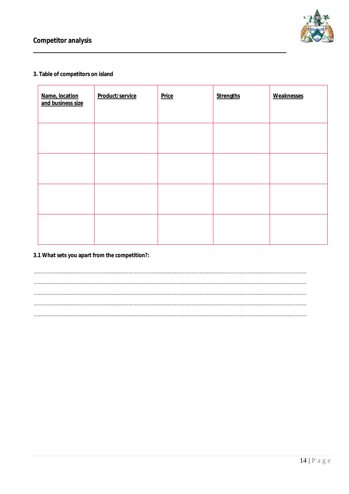

#### 3. Table of competitors on island

| Name, location<br>and business size | Product/service | <b>Price</b> | <b>Strengths</b> | <b>Weaknesses</b> |
|-------------------------------------|-----------------|--------------|------------------|-------------------|
|                                     |                 |              |                  |                   |
|                                     |                 |              |                  |                   |
|                                     |                 |              |                  |                   |
|                                     |                 |              |                  |                   |

#### 3.1 What sets you apart from the competition?: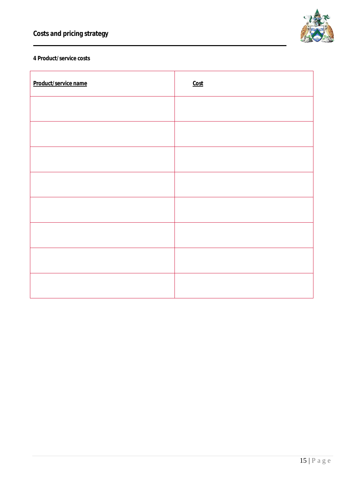

# **4 Product/service costs**

| Product/service name | Cost |
|----------------------|------|
|                      |      |
|                      |      |
|                      |      |
|                      |      |
|                      |      |
|                      |      |
|                      |      |
|                      |      |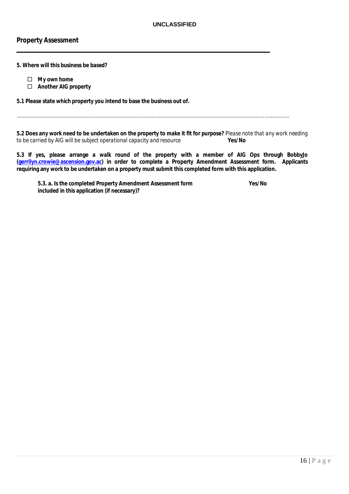#### **Property Assessment**

#### **5. Where will this business be based?**

- **My own home**
- **Another AIG property**

#### **5.1 Please state which property you intend to base the business out of.**

**5.2 Does any work need to be undertaken on the property to make it fit for purpose?** *Please note that any work needing to be carried by AIG will be subject operational capacity and resource to be carried by AIG will be subject operational capacity and resource* 

**5.3 If yes, please arrange a walk round of the property with a member of AIG Ops through BobbyJo (gerrilyn.crowie@ascension.gov.ac) in order to complete a Property Amendment Assessment form. Applicants requiring any work to be undertaken on a property must submit this completed form with this application.**

**5.3. a. Is the completed Property Amendment Assessment form Yes/No included in this application (if necessary)?**